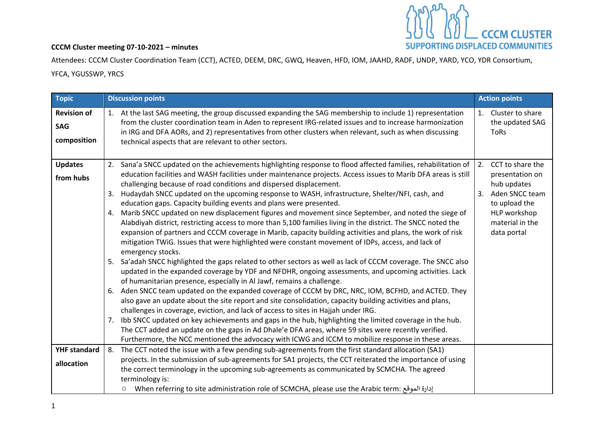

## **CCCM Cluster meeting 07-10-2021 – minutes**

Attendees: CCCM Cluster Coordination Team (CCT), ACTED, DEEM, DRC, GWQ, Heaven, HFD, IOM, JAAHD, RADF, UNDP, YARD, YCO, YDR Consortium, YFCA, YGUSSWP, YRCS

| <b>Topic</b>                                    | <b>Discussion points</b>                                                                                                                                                                                                                                                                                                                                                                                                                                                                                                                                                                                                                                                                                                                                                                                                                                                                                                                                                                                                                                                                                                                                                                                                                                                                                                                                                                                                                                                                                                                                                                                                                                                                                                                                                                                                                                                                                  | <b>Action points</b>                                                                                                                                |
|-------------------------------------------------|-----------------------------------------------------------------------------------------------------------------------------------------------------------------------------------------------------------------------------------------------------------------------------------------------------------------------------------------------------------------------------------------------------------------------------------------------------------------------------------------------------------------------------------------------------------------------------------------------------------------------------------------------------------------------------------------------------------------------------------------------------------------------------------------------------------------------------------------------------------------------------------------------------------------------------------------------------------------------------------------------------------------------------------------------------------------------------------------------------------------------------------------------------------------------------------------------------------------------------------------------------------------------------------------------------------------------------------------------------------------------------------------------------------------------------------------------------------------------------------------------------------------------------------------------------------------------------------------------------------------------------------------------------------------------------------------------------------------------------------------------------------------------------------------------------------------------------------------------------------------------------------------------------------|-----------------------------------------------------------------------------------------------------------------------------------------------------|
| <b>Revision of</b><br><b>SAG</b><br>composition | 1. At the last SAG meeting, the group discussed expanding the SAG membership to include 1) representation<br>from the cluster coordination team in Aden to represent IRG-related issues and to increase harmonization<br>in IRG and DFA AORs, and 2) representatives from other clusters when relevant, such as when discussing<br>technical aspects that are relevant to other sectors.                                                                                                                                                                                                                                                                                                                                                                                                                                                                                                                                                                                                                                                                                                                                                                                                                                                                                                                                                                                                                                                                                                                                                                                                                                                                                                                                                                                                                                                                                                                  | 1. Cluster to share<br>the updated SAG<br><b>ToRs</b>                                                                                               |
| <b>Updates</b><br>from hubs                     | 2. Sana'a SNCC updated on the achievements highlighting response to flood affected families, rehabilitation of<br>education facilities and WASH facilities under maintenance projects. Access issues to Marib DFA areas is still<br>challenging because of road conditions and dispersed displacement.<br>Hudaydah SNCC updated on the upcoming response to WASH, infrastructure, Shelter/NFI, cash, and<br>3.<br>education gaps. Capacity building events and plans were presented.<br>Marib SNCC updated on new displacement figures and movement since September, and noted the siege of<br>4.<br>Alabdiyah district, restricting access to more than 5,100 families living in the district. The SNCC noted the<br>expansion of partners and CCCM coverage in Marib, capacity building activities and plans, the work of risk<br>mitigation TWiG. Issues that were highlighted were constant movement of IDPs, access, and lack of<br>emergency stocks.<br>5. Sa'adah SNCC highlighted the gaps related to other sectors as well as lack of CCCM coverage. The SNCC also<br>updated in the expanded coverage by YDF and NFDHR, ongoing assessments, and upcoming activities. Lack<br>of humanitarian presence, especially in Al Jawf, remains a challenge.<br>Aden SNCC team updated on the expanded coverage of CCCM by DRC, NRC, IOM, BCFHD, and ACTED. They<br>6.<br>also gave an update about the site report and site consolidation, capacity building activities and plans,<br>challenges in coverage, eviction, and lack of access to sites in Hajjah under IRG.<br>Ibb SNCC updated on key achievements and gaps in the hub, highlighting the limited coverage in the hub.<br>7.<br>The CCT added an update on the gaps in Ad Dhale'e DFA areas, where 59 sites were recently verified.<br>Furthermore, the NCC mentioned the advocacy with ICWG and ICCM to mobilize response in these areas. | 2.<br>CCT to share the<br>presentation on<br>hub updates<br>Aden SNCC team<br>3.<br>to upload the<br>HLP workshop<br>material in the<br>data portal |
| <b>YHF standard</b><br>allocation               | 8. The CCT noted the issue with a few pending sub-agreements from the first standard allocation (SA1)<br>projects. In the submission of sub-agreements for SA1 projects, the CCT reiterated the importance of using<br>the correct terminology in the upcoming sub-agreements as communicated by SCMCHA. The agreed<br>terminology is:<br>0 When referring to site administration role of SCMCHA, please use the Arabic term: إدارة الموقع (                                                                                                                                                                                                                                                                                                                                                                                                                                                                                                                                                                                                                                                                                                                                                                                                                                                                                                                                                                                                                                                                                                                                                                                                                                                                                                                                                                                                                                                              |                                                                                                                                                     |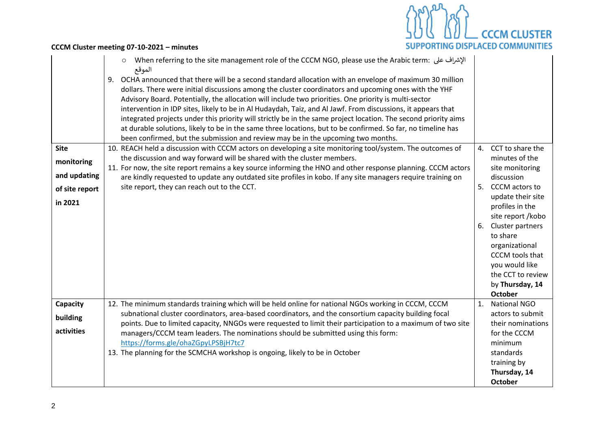

**CCCM Cluster meeting 07-10-2021 – minutes**

| <b>Site</b>    | الإشراف على : When referring to the site management role of the CCCM NGO, please use the Arabic term<br>$\circ$<br>الموقع<br>OCHA announced that there will be a second standard allocation with an envelope of maximum 30 million<br>9.<br>dollars. There were initial discussions among the cluster coordinators and upcoming ones with the YHF<br>Advisory Board. Potentially, the allocation will include two priorities. One priority is multi-sector<br>intervention in IDP sites, likely to be in Al Hudaydah, Taiz, and Al Jawf. From discussions, it appears that<br>integrated projects under this priority will strictly be in the same project location. The second priority aims<br>at durable solutions, likely to be in the same three locations, but to be confirmed. So far, no timeline has<br>been confirmed, but the submission and review may be in the upcoming two months.<br>10. REACH held a discussion with CCCM actors on developing a site monitoring tool/system. The outcomes of |    | 4. CCT to share the                                                                                                                                                                                    |
|----------------|----------------------------------------------------------------------------------------------------------------------------------------------------------------------------------------------------------------------------------------------------------------------------------------------------------------------------------------------------------------------------------------------------------------------------------------------------------------------------------------------------------------------------------------------------------------------------------------------------------------------------------------------------------------------------------------------------------------------------------------------------------------------------------------------------------------------------------------------------------------------------------------------------------------------------------------------------------------------------------------------------------------|----|--------------------------------------------------------------------------------------------------------------------------------------------------------------------------------------------------------|
| monitoring     | the discussion and way forward will be shared with the cluster members.                                                                                                                                                                                                                                                                                                                                                                                                                                                                                                                                                                                                                                                                                                                                                                                                                                                                                                                                        |    | minutes of the                                                                                                                                                                                         |
| and updating   | 11. For now, the site report remains a key source informing the HNO and other response planning. CCCM actors<br>are kindly requested to update any outdated site profiles in kobo. If any site managers require training on                                                                                                                                                                                                                                                                                                                                                                                                                                                                                                                                                                                                                                                                                                                                                                                    |    | site monitoring<br>discussion                                                                                                                                                                          |
| of site report | site report, they can reach out to the CCT.                                                                                                                                                                                                                                                                                                                                                                                                                                                                                                                                                                                                                                                                                                                                                                                                                                                                                                                                                                    |    | 5. CCCM actors to                                                                                                                                                                                      |
| in 2021        |                                                                                                                                                                                                                                                                                                                                                                                                                                                                                                                                                                                                                                                                                                                                                                                                                                                                                                                                                                                                                |    | update their site<br>profiles in the<br>site report /kobo<br>6. Cluster partners<br>to share<br>organizational<br>CCCM tools that<br>you would like<br>the CCT to review<br>by Thursday, 14<br>October |
| Capacity       | 12. The minimum standards training which will be held online for national NGOs working in CCCM, CCCM<br>subnational cluster coordinators, area-based coordinators, and the consortium capacity building focal                                                                                                                                                                                                                                                                                                                                                                                                                                                                                                                                                                                                                                                                                                                                                                                                  | 1. | <b>National NGO</b><br>actors to submit                                                                                                                                                                |
| building       | points. Due to limited capacity, NNGOs were requested to limit their participation to a maximum of two site                                                                                                                                                                                                                                                                                                                                                                                                                                                                                                                                                                                                                                                                                                                                                                                                                                                                                                    |    | their nominations                                                                                                                                                                                      |
| activities     | managers/CCCM team leaders. The nominations should be submitted using this form:                                                                                                                                                                                                                                                                                                                                                                                                                                                                                                                                                                                                                                                                                                                                                                                                                                                                                                                               |    | for the CCCM                                                                                                                                                                                           |
|                | https://forms.gle/ohaZGpyLPSBjH7tc7                                                                                                                                                                                                                                                                                                                                                                                                                                                                                                                                                                                                                                                                                                                                                                                                                                                                                                                                                                            |    | minimum                                                                                                                                                                                                |
|                | 13. The planning for the SCMCHA workshop is ongoing, likely to be in October                                                                                                                                                                                                                                                                                                                                                                                                                                                                                                                                                                                                                                                                                                                                                                                                                                                                                                                                   |    | standards<br>training by                                                                                                                                                                               |
|                |                                                                                                                                                                                                                                                                                                                                                                                                                                                                                                                                                                                                                                                                                                                                                                                                                                                                                                                                                                                                                |    | Thursday, 14                                                                                                                                                                                           |
|                |                                                                                                                                                                                                                                                                                                                                                                                                                                                                                                                                                                                                                                                                                                                                                                                                                                                                                                                                                                                                                |    | <b>October</b>                                                                                                                                                                                         |